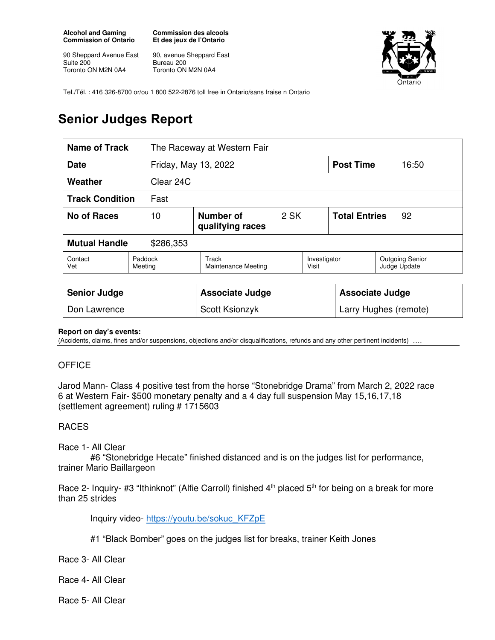**Alcohol and Gaming Commission of Ontario** 

90 Sheppard Avenue East Suite 200 Toronto ON M2N 0A4

**Commission des alcools Et des jeux de l'Ontario** 

90, avenue Sheppard East Bureau 200 Toronto ON M2N 0A4



Tel./Tél. : 416 326-8700 or/ou 1 800 522-2876 toll free in Ontario/sans fraise n Ontario

# **Senior Judges Report**

| <b>Name of Track</b><br>The Raceway at Western Fair |                    |                               |      |                        |                            |                                        |
|-----------------------------------------------------|--------------------|-------------------------------|------|------------------------|----------------------------|----------------------------------------|
| Date<br>Friday, May 13, 2022                        |                    |                               |      | <b>Post Time</b>       | 16:50                      |                                        |
| Weather                                             | Clear 24C          |                               |      |                        |                            |                                        |
| <b>Track Condition</b><br>Fast                      |                    |                               |      |                        |                            |                                        |
| <b>No of Races</b><br>10                            |                    | Number of<br>qualifying races | 2 SK |                        | <b>Total Entries</b><br>92 |                                        |
| <b>Mutual Handle</b><br>\$286,353                   |                    |                               |      |                        |                            |                                        |
| Contact<br>Vet                                      | Paddock<br>Meeting | Track<br>Maintenance Meeting  |      | Investigator<br>Visit  |                            | <b>Outgoing Senior</b><br>Judge Update |
|                                                     |                    |                               |      |                        |                            |                                        |
| <b>Senior Judge</b>                                 |                    | <b>Associate Judge</b>        |      | <b>Associate Judge</b> |                            |                                        |
| Don Lawrence                                        |                    | Scott Ksionzyk                |      | Larry Hughes (remote)  |                            |                                        |

#### **Report on day's events:**

(Accidents, claims, fines and/or suspensions, objections and/or disqualifications, refunds and any other pertinent incidents) ….

## **OFFICE**

Jarod Mann- Class 4 positive test from the horse "Stonebridge Drama" from March 2, 2022 race 6 at Western Fair- \$500 monetary penalty and a 4 day full suspension May 15,16,17,18 (settlement agreement) ruling # 1715603

## RACES

### Race 1- All Clear

 #6 "Stonebridge Hecate" finished distanced and is on the judges list for performance, trainer Mario Baillargeon

Race 2- Inquiry- #3 "Ithinknot" (Alfie Carroll) finished  $4<sup>th</sup>$  placed  $5<sup>th</sup>$  for being on a break for more than 25 strides

Inquiry video- https://youtu.be/sokuc\_KFZpE

- #1 "Black Bomber" goes on the judges list for breaks, trainer Keith Jones
- Race 3- All Clear
- Race 4- All Clear
- Race 5- All Clear